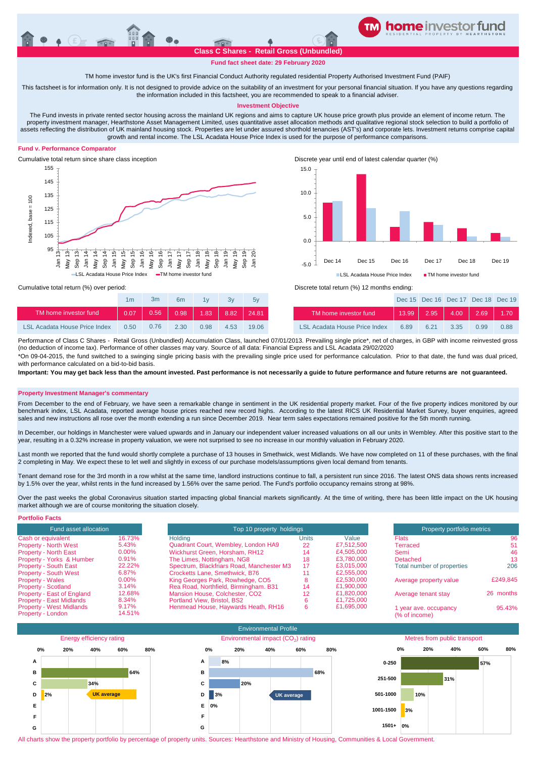

**Fund fact sheet date: 29 February 2020**

TM home investor fund is the UK's first Financial Conduct Authority regulated residential Property Authorised Investment Fund (PAIF)

This factsheet is for information only. It is not designed to provide advice on the suitability of an investment for your personal financial situation. If you have any questions regarding the information included in this factsheet, you are recommended to speak to a financial adviser.

# **Investment Objective**

The Fund invests in private rented sector housing across the mainland UK regions and aims to capture UK house price growth plus provide an element of income return. The property investment manager, Hearthstone Asset Management Limited, uses quantitative asset allocation methods and qualitative regional stock selection to build a portfolio of assets reflecting the distribution of UK mainland housing stock. Properties are let under assured shorthold tenancies (AST's) and corporate lets. Investment returns comprise capital growth and rental income. The LSL Acadata House Price Index is used for the purpose of performance comparisons.

# **Fund v. Performance Comparator**



Cumulative total return since share class inception Discrete year until end of latest calendar quarter (%)



Cumulative total return (%) over period: Discrete total return (%) 12 months ending:

|                       | 1 <sub>m</sub> | Зm         | 6 <sub>m</sub> | 1 <sub>1</sub> | 3v | 5v    |                       |         |         | Dec 15 Dec 16 Dec 17 Dec 18 Dec 1 |       |         |
|-----------------------|----------------|------------|----------------|----------------|----|-------|-----------------------|---------|---------|-----------------------------------|-------|---------|
| TM home investor fund | 0.07           | 0.56       | 0.98           | $1.83$ 8.82    |    | 24.81 | TM home investor fund | 13.99   | 2.95    | 4.00                              | 2.69  | $-1.70$ |
| .<br>_ _ _ _          |                | $- -  - -$ | .              | - - - -        | .  | .     | _ _ _                 | - - - - | - - - - | - - - -                           | _____ | - - -   |

0.50 2.30 0.98 4.53 19.06 6.89 6.21 3.35 0.99 0.88 LSL Acadata House Price Index LSL Acadata House Price Index 0.76 Performance of Class C Shares - Retail Gross (Unbundled) Accumulation Class, launched 07/01/2013. Prevailing single price\*, net of charges, in GBP with income reinvested gross (no deduction of income tax). Performance of other classes may vary. Source of all data: Financial Express and LSL Acadata 29/02/2020

\*On 09-04-2015, the fund switched to a swinging single pricing basis with the prevailing single price used for performance calculation. Prior to that date, the fund was dual priced, with performance calculated on a bid-to-bid basis

**Important: You may get back less than the amount invested. Past performance is not necessarily a guide to future performance and future returns are not guaranteed.** 

#### **Property Investment Manager's commentary**

From December to the end of February, we have seen a remarkable change in sentiment in the UK residential property market. Four of the five property indices monitored by our benchmark index, LSL Acadata, reported average house prices reached new record highs. According to the latest RICS UK Residential Market Survey, buyer enquiries, agreed sales and new instructions all rose over the month extending a run since December 2019. Near term sales expectations remained positive for the 5th month running.

In December, our holdings in Manchester were valued upwards and in January our independent valuer increased valuations on all our units in Wembley. After this positive start to the year, resulting in a 0.32% increase in property valuation, we were not surprised to see no increase in our monthly valuation in February 2020.

Last month we reported that the fund would shortly complete a purchase of 13 houses in Smethwick, west Midlands. We have now completed on 11 of these purchases, with the final 2 completing in May. We expect these to let well and slightly in excess of our purchase models/assumptions given local demand from tenants.

Tenant demand rose for the 3rd month in a row whilst at the same time, landlord instructions continue to fall, a persistent run since 2016. The latest ONS data shows rents increased by 1.5% over the year, whilst rents in the fund increased by 1.56% over the same period. The Fund's portfolio occupancy remains strong at 98%.

Over the past weeks the global Coronavirus situation started impacting global financial markets significantly. At the time of writing, there has been little impact on the UK housing market although we are of course monitoring the situation closely.

| <b>Portfolio Facts</b>          |          |                                           |                            |            |                            |           |
|---------------------------------|----------|-------------------------------------------|----------------------------|------------|----------------------------|-----------|
| Fund asset allocation           |          | Top 10 property holdings                  | Property portfolio metrics |            |                            |           |
| Cash or equivalent              | 16.73%   | Holdina                                   | Units                      | Value      | <b>Flats</b>               | 96        |
| <b>Property - North West</b>    | 5.43%    | Quadrant Court, Wembley, London HA9       | 22                         | £7.512.500 | Terraced                   | 51        |
| <b>Property - North East</b>    | $0.00\%$ | Wickhurst Green, Horsham, RH12            | 14                         | £4,505,000 | Semi                       | 46        |
| Property - Yorks & Humber       | 0.91%    | The Limes, Nottingham, NG8                | 18                         | £3.780,000 | Detached                   | 13        |
| <b>Property - South East</b>    | 22.22%   | Spectrum, Blackfriars Road, Manchester M3 | 17                         | £3.015.000 | Total number of properties | 206       |
| <b>Property - South West</b>    | 6.87%    | Crocketts Lane, Smethwick, B76            |                            | £2,555,000 |                            |           |
| <b>Property - Wales</b>         | $0.00\%$ | King Georges Park, Rowhedge, CO5          |                            | £2,530,000 | Average property value     | £249.845  |
| <b>Property - Scotland</b>      | 3.14%    | Rea Road, Northfield, Birmingham, B31     | 14                         | £1,900,000 |                            |           |
| Property - East of England      | 12.68%   | Mansion House, Colchester, CO2            | 12                         | £1.820.000 | Average tenant stay        | 26 months |
| <b>Property - East Midlands</b> | 8.34%    | Portland View, Bristol, BS2               |                            | £1.725,000 |                            |           |
| <b>Property - West Midlands</b> | 9.17%    | Henmead House, Haywards Heath, RH16       |                            | £1,695,000 | I year ave. occupancy      | 95.43%    |
| Property - London               | 14.51%   |                                           |                            |            | (% of income)              |           |



All charts show the property portfolio by percentage of property units. Sources: Hearthstone and Ministry of Housing, Communities & Local Government.